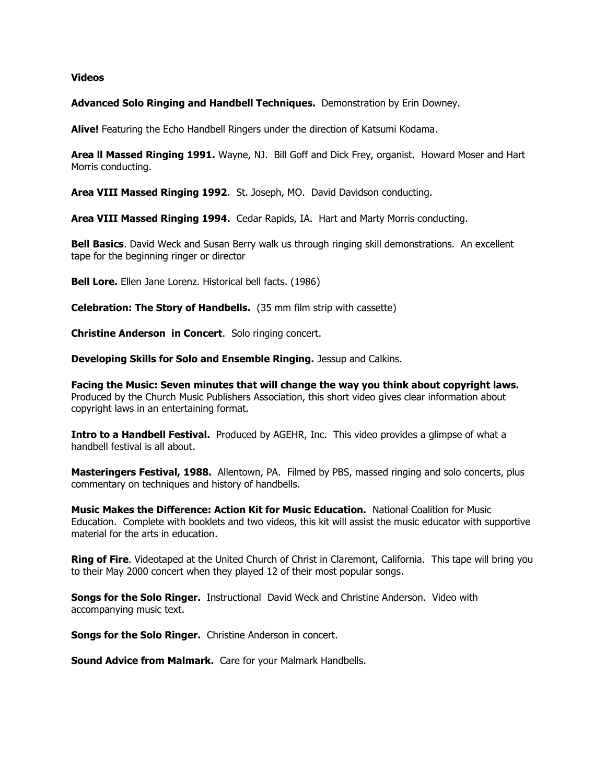## **Videos**

## **Advanced Solo Ringing and Handbell Techniques.** Demonstration by Erin Downey.

**Alive!** Featuring the Echo Handbell Ringers under the direction of Katsumi Kodama.

**Area ll Massed Ringing 1991.** Wayne, NJ. Bill Goff and Dick Frey, organist. Howard Moser and Hart Morris conducting.

**Area VIII Massed Ringing 1992**. St. Joseph, MO. David Davidson conducting.

**Area VIII Massed Ringing 1994.** Cedar Rapids, IA. Hart and Marty Morris conducting.

**Bell Basics**. David Weck and Susan Berry walk us through ringing skill demonstrations. An excellent tape for the beginning ringer or director

**Bell Lore.** Ellen Jane Lorenz. Historical bell facts. (1986)

**Celebration: The Story of Handbells.** (35 mm film strip with cassette)

**Christine Anderson in Concert**. Solo ringing concert.

**Developing Skills for Solo and Ensemble Ringing.** Jessup and Calkins.

**Facing the Music: Seven minutes that will change the way you think about copyright laws.** Produced by the Church Music Publishers Association, this short video gives clear information about copyright laws in an entertaining format.

**Intro to a Handbell Festival.** Produced by AGEHR, Inc. This video provides a glimpse of what a handbell festival is all about.

**Masteringers Festival, 1988.** Allentown, PA. Filmed by PBS, massed ringing and solo concerts, plus commentary on techniques and history of handbells.

**Music Makes the Difference: Action Kit for Music Education.** National Coalition for Music Education. Complete with booklets and two videos, this kit will assist the music educator with supportive material for the arts in education.

**Ring of Fire**. Videotaped at the United Church of Christ in Claremont, California. This tape will bring you to their May 2000 concert when they played 12 of their most popular songs.

**Songs for the Solo Ringer.** Instructional David Weck and Christine Anderson. Video with accompanying music text.

**Songs for the Solo Ringer.** Christine Anderson in concert.

**Sound Advice from Malmark.** Care for your Malmark Handbells.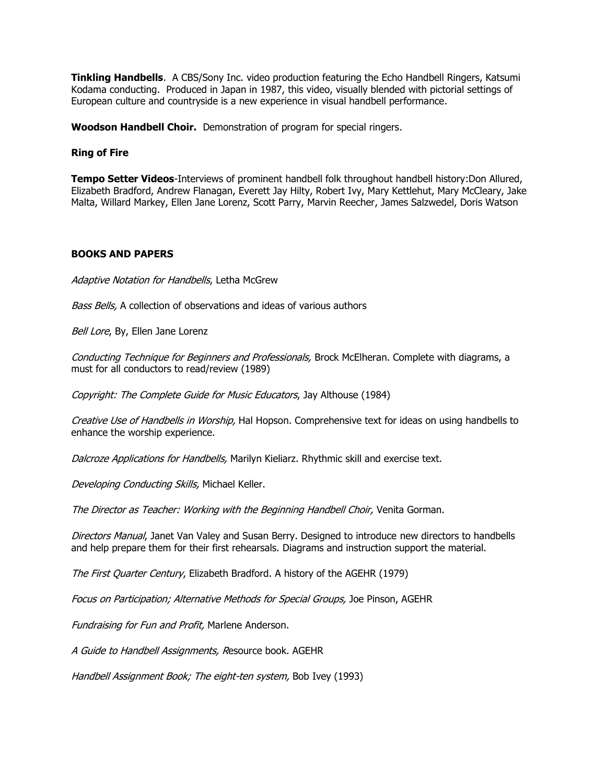**Tinkling Handbells**. A CBS/Sony Inc. video production featuring the Echo Handbell Ringers, Katsumi Kodama conducting. Produced in Japan in 1987, this video, visually blended with pictorial settings of European culture and countryside is a new experience in visual handbell performance.

**Woodson Handbell Choir.** Demonstration of program for special ringers.

## **Ring of Fire**

**Tempo Setter Videos**-Interviews of prominent handbell folk throughout handbell history:Don Allured, Elizabeth Bradford, Andrew Flanagan, Everett Jay Hilty, Robert Ivy, Mary Kettlehut, Mary McCleary, Jake Malta, Willard Markey, Ellen Jane Lorenz, Scott Parry, Marvin Reecher, James Salzwedel, Doris Watson

## **BOOKS AND PAPERS**

Adaptive Notation for Handbells, Letha McGrew

Bass Bells, A collection of observations and ideas of various authors

Bell Lore, By, Ellen Jane Lorenz

Conducting Technique for Beginners and Professionals, Brock McElheran. Complete with diagrams, a must for all conductors to read/review (1989)

Copyright: The Complete Guide for Music Educators, Jay Althouse (1984)

Creative Use of Handbells in Worship, Hal Hopson. Comprehensive text for ideas on using handbells to enhance the worship experience.

Dalcroze Applications for Handbells, Marilyn Kieliarz. Rhythmic skill and exercise text.

Developing Conducting Skills, Michael Keller.

The Director as Teacher: Working with the Beginning Handbell Choir, Venita Gorman.

Directors Manual, Janet Van Valey and Susan Berry. Designed to introduce new directors to handbells and help prepare them for their first rehearsals. Diagrams and instruction support the material.

The First Quarter Century, Elizabeth Bradford. A history of the AGEHR (1979)

Focus on Participation; Alternative Methods for Special Groups, Joe Pinson, AGEHR

Fundraising for Fun and Profit, Marlene Anderson.

A Guide to Handbell Assignments, Resource book. AGEHR

Handbell Assignment Book; The eight-ten system, Bob Ivey (1993)